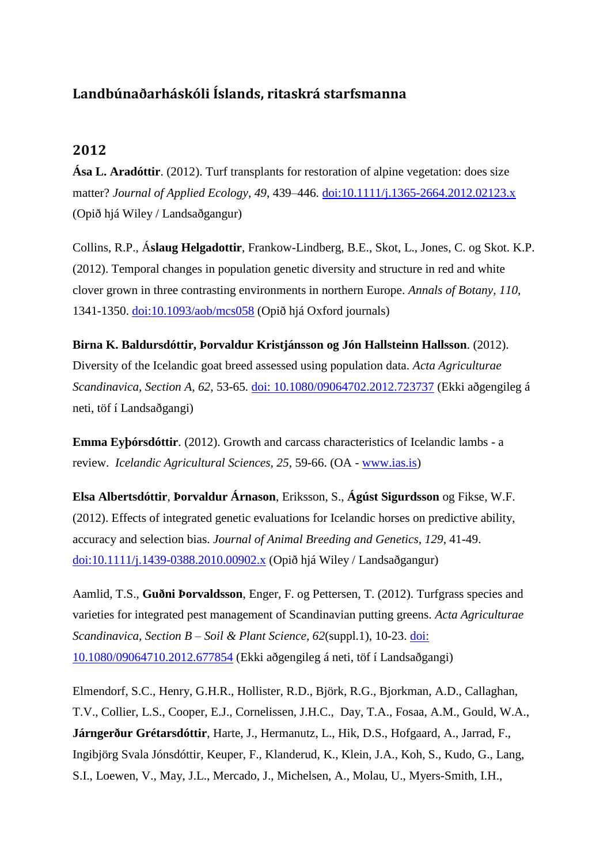## **Landbúnaðarháskóli Íslands, ritaskrá starfsmanna**

## **2012**

**Ása L. Aradóttir**. (2012). Turf transplants for restoration of alpine vegetation: does size matter? *Journal of Applied Ecology, 49*, 439–446. [doi:10.1111/j.1365-2664.2012.02123.x](http://onlinelibrary.wiley.com/doi/10.1111/j.1365-2664.2012.02123.x/pdf) (Opið hjá Wiley / Landsaðgangur)

Collins, R.P., Á**slaug Helgadottir**, Frankow-Lindberg, B.E., Skot, L., Jones, C. og Skot. K.P. (2012). Temporal changes in population genetic diversity and structure in red and white clover grown in three contrasting environments in northern Europe. *Annals of Botany, 110*, 1341-1350. [doi:10.1093/aob/mcs058](http://aob.oxfordjournals.org/content/early/2012/03/20/aob.mcs058.full.pdf) (Opið hjá Oxford journals)

**Birna K. Baldursdóttir, Þorvaldur Kristjánsson og Jón Hallsteinn Hallsson**. (2012). Diversity of the Icelandic goat breed assessed using population data. *Acta Agriculturae Scandinavica, Section A, 62*, 53-65. [doi: 10.1080/09064702.2012.723737](http://ehis.ebscohost.com/eds/detail?vid=3&sid=6ea4d487-9e60-446e-93e4-379dba021c69%40sessionmgr4&hid=106&bdata=JnNpdGU9ZWRzLWxpdmU%3d#db=aph&AN=85750446) (Ekki aðgengileg á neti, töf í Landsaðgangi)

**Emma Eyþórsdóttir**. (2012). Growth and carcass characteristics of Icelandic lambs - a review. *Icelandic Agricultural Sciences, 25*, 59-66. (OA - [www.ias.is\)](http://www.ias.is/landbunadur/wgsamvef.nsf/Attachment/Emma%20Eythorsdottir%202012/$file/Emma%20Eythorsdottir%202012.pdf)

**Elsa Albertsdóttir**, **Þorvaldur Árnason**, Eriksson, S., **Ágúst Sigurdsson** og Fikse, W.F. (2012). Effects of integrated genetic evaluations for Icelandic horses on predictive ability, accuracy and selection bias. *Journal of Animal Breeding and Genetics, 129*, 41-49. [doi:10.1111/j.1439-0388.2010.00902.x](http://onlinelibrary.wiley.com/doi/10.1111/j.1439-0388.2010.00902.x/pdf) (Opið hjá Wiley / Landsaðgangur)

Aamlid, T.S., **Guðni Þorvaldsson**, Enger, F. og Pettersen, T. (2012). Turfgrass species and varieties for integrated pest management of Scandinavian putting greens. *Acta Agriculturae Scandinavica, Section B – Soil & Plant Science, 62*(suppl.1), 10-23. [doi:](http://www.tandfonline.com/doi/abs/10.1080/09064710.2012.677854#.UoJUN3C8DDs)  [10.1080/09064710.2012.677854](http://www.tandfonline.com/doi/abs/10.1080/09064710.2012.677854#.UoJUN3C8DDs) (Ekki aðgengileg á neti, töf í Landsaðgangi)

Elmendorf, S.C., Henry, G.H.R., Hollister, R.D., Björk, R.G., Bjorkman, A.D., Callaghan, T.V., Collier, L.S., Cooper, E.J., Cornelissen, J.H.C., Day, T.A., Fosaa, A.M., Gould, W.A., **Járngerður Grétarsdóttir**, Harte, J., Hermanutz, L., Hik, D.S., Hofgaard, A., Jarrad, F., Ingibjörg Svala Jónsdóttir, Keuper, F., Klanderud, K., Klein, J.A., Koh, S., Kudo, G., Lang, S.I., Loewen, V., May, J.L., Mercado, J., Michelsen, A., Molau, U., Myers-Smith, I.H.,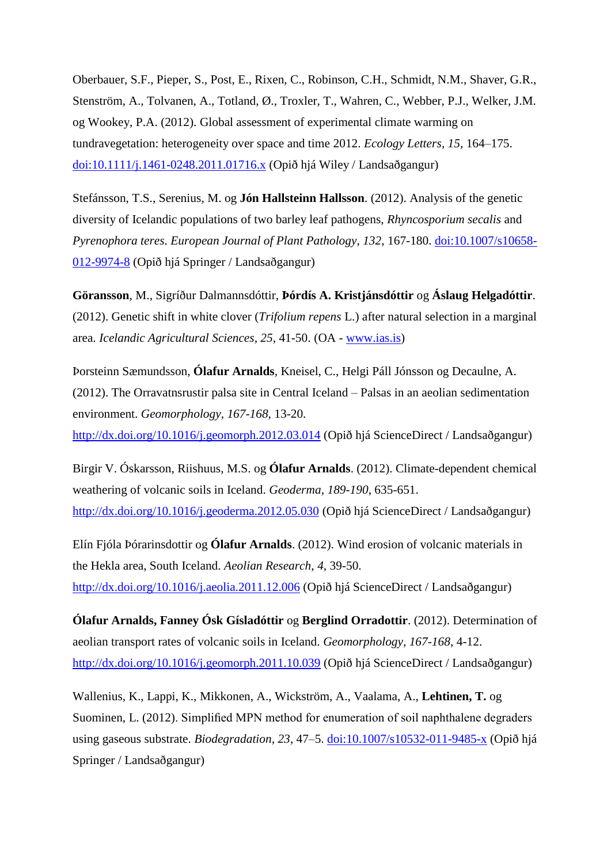Oberbauer, S.F., Pieper, S., Post, E., Rixen, C., Robinson, C.H., Schmidt, N.M., Shaver, G.R., Stenström, A., Tolvanen, A., Totland, Ø., Troxler, T., Wahren, C., Webber, P.J., Welker, J.M. og Wookey, P.A. (2012). Global assessment of experimental climate warming on tundravegetation: heterogeneity over space and time 2012. *Ecology Letters, 15,* 164–175. [doi:10.1111/j.1461-0248.2011.01716.x](http://onlinelibrary.wiley.com/doi/10.1111/j.1461-0248.2011.01716.x/pdf) (Opið hjá Wiley / Landsaðgangur)

Stefánsson, T.S., Serenius, M. og **Jón Hallsteinn Hallsson**. (2012). Analysis of the genetic diversity of Icelandic populations of two barley leaf pathogens, *Rhyncosporium secalis* and *Pyrenophora teres*. *European Journal of Plant Pathology, 132*, 167-180. [doi:10.1007/s10658-](http://download.springer.com/static/pdf/920/art%253A10.1007%252Fs10658-012-9974-8.pdf?auth66=1384447308_f96e77bba6bdab4fd61a596bdb20c486&ext=.pdf) [012-9974-8](http://download.springer.com/static/pdf/920/art%253A10.1007%252Fs10658-012-9974-8.pdf?auth66=1384447308_f96e77bba6bdab4fd61a596bdb20c486&ext=.pdf) (Opið hjá Springer / Landsaðgangur)

**Göransson**, M., Sigríður Dalmannsdóttir, **Þórdís A. Kristjánsdóttir** og **Áslaug Helgadóttir**. (2012). Genetic shift in white clover (*Trifolium repens* L.) after natural selection in a marginal area. *Icelandic Agricultural Sciences, 25*, 41-50. (OA - [www.ias.is\)](http://www.ias.is/landbunadur/wgsamvef.nsf/Attachment/Magnus%20Goransson%20et%20al%202012/$file/Magnus%20Goransson%20et%20al%202012.pdf)

Þorsteinn Sæmundsson, **Ólafur Arnalds**, Kneisel, C., Helgi Páll Jónsson og Decaulne, A. (2012). The Orravatnsrustir palsa site in Central Iceland – Palsas in an aeolian sedimentation environment. *Geomorphology, 167-168*, 13-20. <http://dx.doi.org/10.1016/j.geomorph.2012.03.014> (Opið hjá ScienceDirect / Landsaðgangur)

Birgir V. Óskarsson, Riishuus, M.S. og **Ólafur Arnalds**. (2012). Climate-dependent chemical weathering of volcanic soils in Iceland. *Geoderma, 189-190*, 635-651. [http://dx.doi.org/10.1016/j.geoderma.2012.05.030](http://ac.els-cdn.com/S0016706112002376/1-s2.0-S0016706112002376-main.pdf?_tid=c05b90d2-4bb9-11e3-b0f9-00000aacb361&acdnat=1384274872_d86e131f579dee77d42d60751d0cf40f) (Opið hjá ScienceDirect / Landsaðgangur)

Elín Fjóla Þórarinsdottir og **Ólafur Arnalds**. (2012). Wind erosion of volcanic materials in the Hekla area, South Iceland. *Aeolian Research, 4*, 39-50. [http://dx.doi.org/10.1016/j.aeolia.2011.12.006](http://ac.els-cdn.com/S187596371200002X/1-s2.0-S187596371200002X-main.pdf?_tid=ed8a6628-4bb9-11e3-b9d4-00000aacb360&acdnat=1384274947_aaa1b4d25decadc34125df52dda34940) (Opið hjá ScienceDirect / Landsaðgangur)

**Ólafur Arnalds, Fanney Ósk Gísladóttir** og **Berglind Orradottir**. (2012). Determination of aeolian transport rates of volcanic soils in Iceland. *Geomorphology, 167-168*, 4-12. [http://dx.doi.org/10.1016/j.geomorph.2011.10.039](http://ac.els-cdn.com/S0169555X11006453/1-s2.0-S0169555X11006453-main.pdf?_tid=29803658-4bba-11e3-b006-00000aab0f6c&acdnat=1384275048_d6c709ddce2b45df5b1947fba25c7025) (Opið hjá ScienceDirect / Landsaðgangur)

Wallenius, K., Lappi, K., Mikkonen, A., Wickström, A., Vaalama, A., **Lehtinen, T.** og Suominen, L. (2012). Simplified MPN method for enumeration of soil naphthalene degraders using gaseous substrate. *Biodegradation, 23*, 47–5. [doi:10.1007/s10532-011-9485-x](http://link.springer.com/article/10.1007/s10532-011-9485-x#page-2) (Opið hjá Springer / Landsaðgangur)